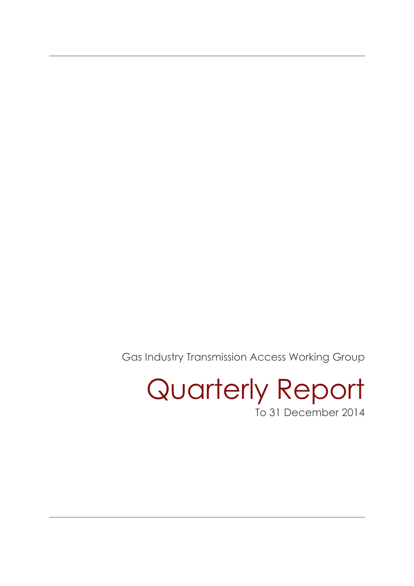Gas Industry Transmission Access Working Group

Quarterly Report To 31 December 2014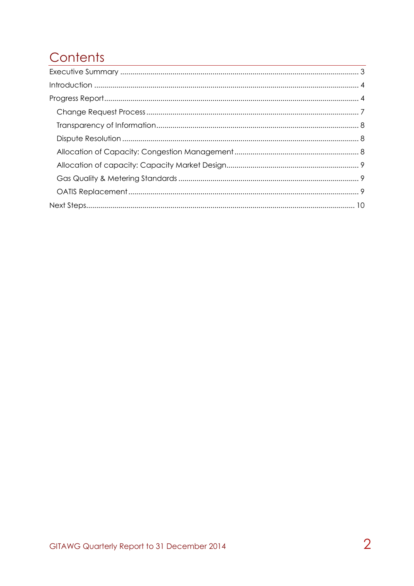# Contents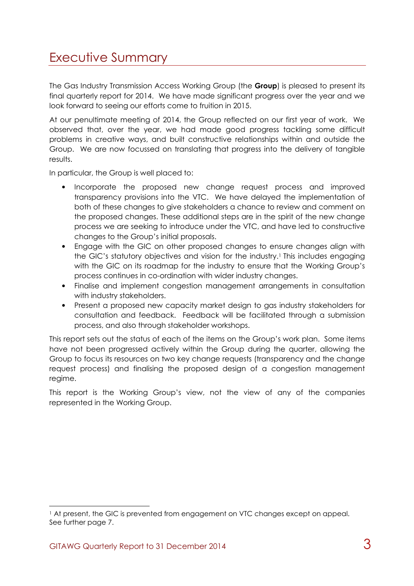## Executive Summary

The Gas Industry Transmission Access Working Group (the Group) is pleased to present its final quarterly report for 2014. We have made significant progress over the year and we look forward to seeing our efforts come to fruition in 2015.

At our penultimate meeting of 2014, the Group reflected on our first year of work. We observed that, over the year, we had made good progress tackling some difficult problems in creative ways, and built constructive relationships within and outside the Group. We are now focussed on translating that progress into the delivery of tangible results.

In particular, the Group is well placed to:

- Incorporate the proposed new change request process and improved transparency provisions into the VTC. We have delayed the implementation of both of these changes to give stakeholders a chance to review and comment on the proposed changes. These additional steps are in the spirit of the new change process we are seeking to introduce under the VTC, and have led to constructive changes to the Group's initial proposals.
- Engage with the GIC on other proposed changes to ensure changes align with the GIC's statutory objectives and vision for the industry.<sup>1</sup> This includes engaging with the GIC on its roadmap for the industry to ensure that the Working Group's process continues in co-ordination with wider industry changes.
- Finalise and implement congestion management arrangements in consultation with industry stakeholders.
- Present a proposed new capacity market design to gas industry stakeholders for consultation and feedback. Feedback will be facilitated through a submission process, and also through stakeholder workshops.

This report sets out the status of each of the items on the Group's work plan. Some items have not been progressed actively within the Group during the quarter, allowing the Group to focus its resources on two key change requests (transparency and the change request process) and finalising the proposed design of a congestion management regime.

This report is the Working Group's view, not the view of any of the companies represented in the Working Group.

 $\overline{a}$ 

<sup>1</sup> At present, the GIC is prevented from engagement on VTC changes except on appeal. See further page 7.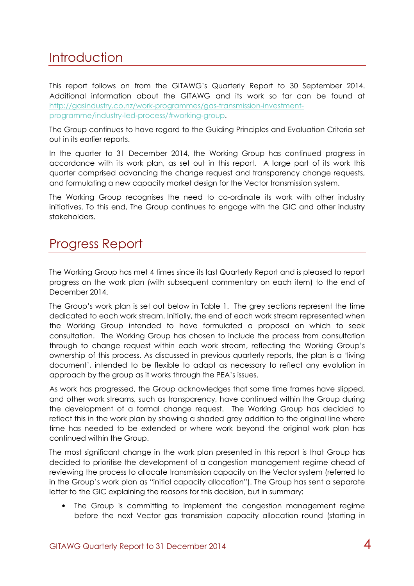## **Introduction**

This report follows on from the GITAWG's Quarterly Report to 30 September 2014. Additional information about the GITAWG and its work so far can be found at http://gasindustry.co.nz/work-programmes/gas-transmission-investmentprogramme/industry-led-process/#working-group.

The Group continues to have regard to the Guiding Principles and Evaluation Criteria set out in its earlier reports.

In the quarter to 31 December 2014, the Working Group has continued progress in accordance with its work plan, as set out in this report. A large part of its work this quarter comprised advancing the change request and transparency change requests, and formulating a new capacity market design for the Vector transmission system.

The Working Group recognises the need to co-ordinate its work with other industry initiatives. To this end, The Group continues to engage with the GIC and other industry stakeholders.

### Progress Report

The Working Group has met 4 times since its last Quarterly Report and is pleased to report progress on the work plan (with subsequent commentary on each item) to the end of December 2014.

The Group's work plan is set out below in Table 1. The grey sections represent the time dedicated to each work stream. Initially, the end of each work stream represented when the Working Group intended to have formulated a proposal on which to seek consultation. The Working Group has chosen to include the process from consultation through to change request within each work stream, reflecting the Working Group's ownership of this process. As discussed in previous quarterly reports, the plan is a 'living document', intended to be flexible to adapt as necessary to reflect any evolution in approach by the group as it works through the PEA's issues.

As work has progressed, the Group acknowledges that some time frames have slipped, and other work streams, such as transparency, have continued within the Group during the development of a formal change request. The Working Group has decided to reflect this in the work plan by showing a shaded grey addition to the original line where time has needed to be extended or where work beyond the original work plan has continued within the Group.

The most significant change in the work plan presented in this report is that Group has decided to prioritise the development of a congestion management regime ahead of reviewing the process to allocate transmission capacity on the Vector system (referred to in the Group's work plan as "initial capacity allocation"). The Group has sent a separate letter to the GIC explaining the reasons for this decision, but in summary:

• The Group is committing to implement the congestion management regime before the next Vector gas transmission capacity allocation round (starting in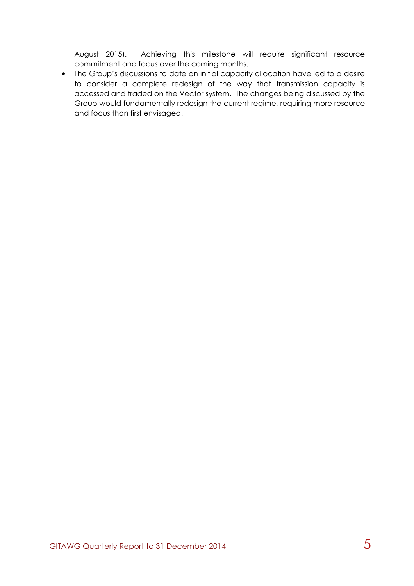August 2015). Achieving this milestone will require significant resource commitment and focus over the coming months.

• The Group's discussions to date on initial capacity allocation have led to a desire to consider a complete redesign of the way that transmission capacity is accessed and traded on the Vector system. The changes being discussed by the Group would fundamentally redesign the current regime, requiring more resource and focus than first envisaged.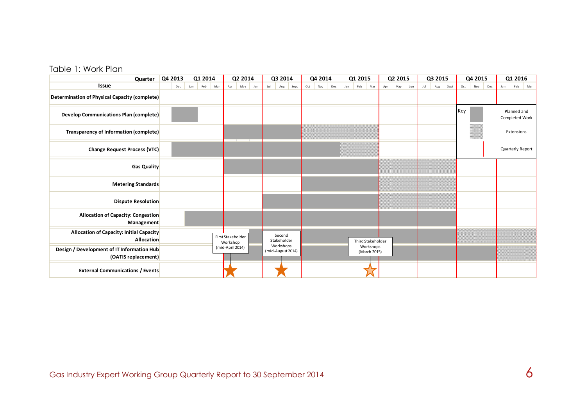#### Table 1: Work Plan

| Quarter                                                              | Q4 2013 | Q1 2014           | Q2 2014                       | Q3 2014                        | Q4 2014           | Q1 2015                   | Q2 2015           | Q3 2015            | Q4 2015           | Q1 2016                       |
|----------------------------------------------------------------------|---------|-------------------|-------------------------------|--------------------------------|-------------------|---------------------------|-------------------|--------------------|-------------------|-------------------------------|
| Issue                                                                | Dec     | Feb<br>Jan<br>Mar | Apr<br>May<br>Jun             | Jul<br>Sept<br>Aug             | Oct<br>Dec<br>Nov | Mar<br>Jan<br>Feb         | Jun<br>Apr<br>May | Jul<br>Sept<br>Aug | Oct<br>Dec<br>Nov | Mar<br>Jan<br>Feb             |
| Determination of Physical Capacity (complete)                        |         |                   |                               |                                |                   |                           |                   |                    |                   |                               |
| <b>Develop Communications Plan (complete)</b>                        |         |                   |                               |                                |                   |                           |                   |                    | Key               | Planned and<br>Completed Work |
| Transparency of Information (complete)                               |         |                   |                               |                                |                   |                           |                   |                    |                   | Extensions                    |
| <b>Change Request Process (VTC)</b>                                  |         |                   |                               |                                |                   |                           |                   |                    |                   | Quarterly Report              |
| Gas Quality                                                          |         |                   |                               |                                |                   |                           |                   |                    |                   |                               |
| <b>Metering Standards</b>                                            |         |                   |                               |                                |                   |                           |                   |                    |                   |                               |
| <b>Dispute Resolution</b>                                            |         |                   |                               |                                |                   |                           |                   |                    |                   |                               |
| <b>Allocation of Capacity: Congestion</b><br>Management              |         |                   |                               |                                |                   |                           |                   |                    |                   |                               |
| <b>Allocation of Capacity: Initial Capacity</b><br><b>Allocation</b> |         |                   | First Stakeholder<br>Workshop | Second<br>Stakeholder          |                   | Third Stakeholder         |                   |                    |                   |                               |
| Design / Development of IT Information Hub<br>(OATIS replacement)    |         |                   | (mid-April 2014)              | Workshops<br>(mid-August 2014) |                   | Workshops<br>(March 2015) |                   |                    |                   |                               |
| <b>External Communications / Events</b>                              |         |                   |                               |                                |                   |                           |                   |                    |                   |                               |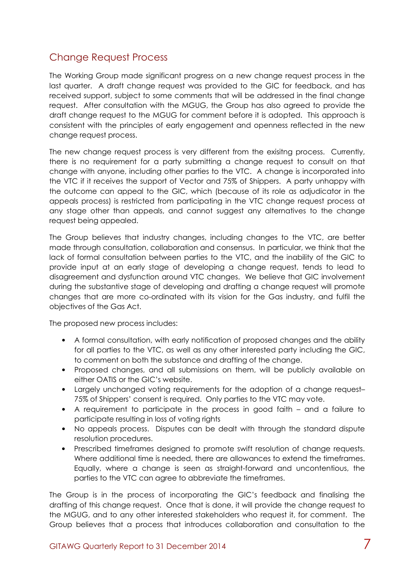### Change Request Process

The Working Group made significant progress on a new change request process in the last quarter. A draft change request was provided to the GIC for feedback, and has received support, subject to some comments that will be addressed in the final change request. After consultation with the MGUG, the Group has also agreed to provide the draft change request to the MGUG for comment before it is adopted. This approach is consistent with the principles of early engagement and openness reflected in the new change request process.

The new change request process is very different from the exisitng process. Currently, there is no requirement for a party submitting a change request to consult on that change with anyone, including other parties to the VTC. A change is incorporated into the VTC if it receives the support of Vector and 75% of Shippers. A party unhappy with the outcome can appeal to the GIC, which (because of its role as adjudicator in the appeals process) is restricted from participating in the VTC change request process at any stage other than appeals, and cannot suggest any alternatives to the change request being appealed.

The Group believes that industry changes, including changes to the VTC, are better made through consultation, collaboration and consensus. In particular, we think that the lack of formal consultation between parties to the VTC, and the inability of the GIC to provide input at an early stage of developing a change request, tends to lead to disagreement and dysfunction around VTC changes. We believe that GIC involvement during the substantive stage of developing and drafting a change request will promote changes that are more co-ordinated with its vision for the Gas industry, and fulfil the objectives of the Gas Act.

The proposed new process includes:

- A formal consultation, with early notification of proposed changes and the ability for all parties to the VTC, as well as any other interested party including the GIC, to comment on both the substance and drafting of the change.
- Proposed changes, and all submissions on them, will be publicly available on either OATIS or the GIC's website.
- Largely unchanged voting requirements for the adoption of a change request– 75% of Shippers' consent is required. Only parties to the VTC may vote.
- A requirement to participate in the process in good faith and a failure to participate resulting in loss of voting rights
- No appeals process. Disputes can be dealt with through the standard dispute resolution procedures.
- Prescribed timeframes designed to promote swift resolution of change requests. Where additional time is needed, there are allowances to extend the timeframes. Equally, where a change is seen as straight-forward and uncontentious, the parties to the VTC can agree to abbreviate the timeframes.

The Group is in the process of incorporating the GIC's feedback and finalising the drafting of this change request. Once that is done, it will provide the change request to the MGUG, and to any other interested stakeholders who request it, for comment. The Group believes that a process that introduces collaboration and consultation to the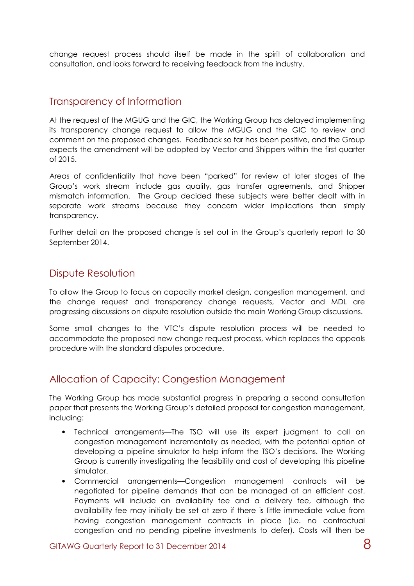change request process should itself be made in the spirit of collaboration and consultation, and looks forward to receiving feedback from the industry.

#### Transparency of Information

At the request of the MGUG and the GIC, the Working Group has delayed implementing its transparency change request to allow the MGUG and the GIC to review and comment on the proposed changes. Feedback so far has been positive, and the Group expects the amendment will be adopted by Vector and Shippers within the first quarter of 2015.

Areas of confidentiality that have been "parked" for review at later stages of the Group's work stream include gas quality, gas transfer agreements, and Shipper mismatch information. The Group decided these subjects were better dealt with in separate work streams because they concern wider implications than simply transparency.

Further detail on the proposed change is set out in the Group's quarterly report to 30 September 2014.

#### Dispute Resolution

To allow the Group to focus on capacity market design, congestion management, and the change request and transparency change requests, Vector and MDL are progressing discussions on dispute resolution outside the main Working Group discussions.

Some small changes to the VTC's dispute resolution process will be needed to accommodate the proposed new change request process, which replaces the appeals procedure with the standard disputes procedure.

### Allocation of Capacity: Congestion Management

The Working Group has made substantial progress in preparing a second consultation paper that presents the Working Group's detailed proposal for congestion management, including:

- Technical arrangements—The TSO will use its expert judgment to call on congestion management incrementally as needed, with the potential option of developing a pipeline simulator to help inform the TSO's decisions. The Working Group is currently investigating the feasibility and cost of developing this pipeline simulator.
- Commercial arrangements—Congestion management contracts will be negotiated for pipeline demands that can be managed at an efficient cost. Payments will include an availability fee and a delivery fee, although the availability fee may initially be set at zero if there is little immediate value from having congestion management contracts in place (i.e. no contractual congestion and no pending pipeline investments to defer). Costs will then be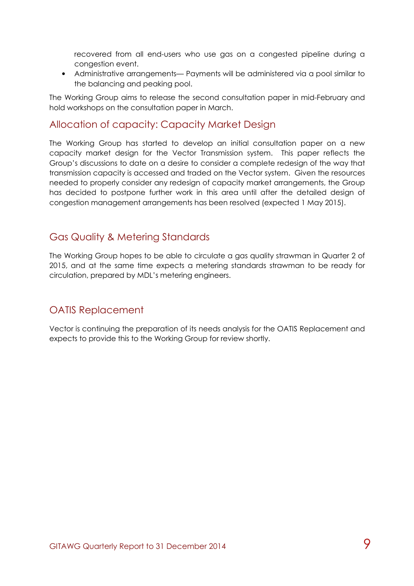recovered from all end-users who use gas on a congested pipeline during a congestion event.

• Administrative arrangements— Payments will be administered via a pool similar to the balancing and peaking pool.

The Working Group aims to release the second consultation paper in mid-February and hold workshops on the consultation paper in March.

#### Allocation of capacity: Capacity Market Design

The Working Group has started to develop an initial consultation paper on a new capacity market design for the Vector Transmission system. This paper reflects the Group's discussions to date on a desire to consider a complete redesign of the way that transmission capacity is accessed and traded on the Vector system. Given the resources needed to properly consider any redesign of capacity market arrangements, the Group has decided to postpone further work in this area until after the detailed design of congestion management arrangements has been resolved (expected 1 May 2015).

#### Gas Quality & Metering Standards

The Working Group hopes to be able to circulate a gas quality strawman in Quarter 2 of 2015, and at the same time expects a metering standards strawman to be ready for circulation, prepared by MDL's metering engineers.

#### OATIS Replacement

Vector is continuing the preparation of its needs analysis for the OATIS Replacement and expects to provide this to the Working Group for review shortly.